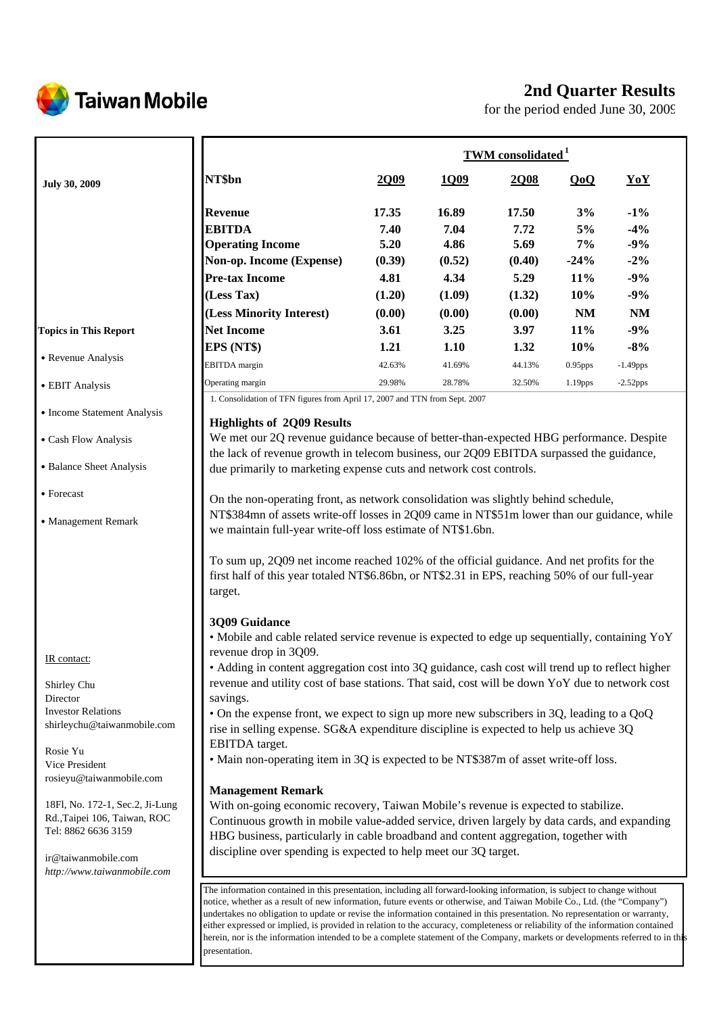

# **Taiwan Mobile**

# **2nd Quarter Results**

for the period ended June 30, 2009

|                                                                 |                                                                                                                                                                                                                                                                                                                                                                                          | <b>TWM</b> consolidated <sup>1</sup> |             |        |                        |             |  |
|-----------------------------------------------------------------|------------------------------------------------------------------------------------------------------------------------------------------------------------------------------------------------------------------------------------------------------------------------------------------------------------------------------------------------------------------------------------------|--------------------------------------|-------------|--------|------------------------|-------------|--|
| <b>July 30, 2009</b>                                            | NT\$bn                                                                                                                                                                                                                                                                                                                                                                                   | 2009                                 | <u>1Q09</u> | 2Q08   | QoQ                    | YoY         |  |
|                                                                 | Revenue                                                                                                                                                                                                                                                                                                                                                                                  | 17.35                                | 16.89       | 17.50  | 3%                     | $-1\%$      |  |
|                                                                 | <b>EBITDA</b>                                                                                                                                                                                                                                                                                                                                                                            | 7.40                                 | 7.04        | 7.72   | 5%                     | $-4%$       |  |
|                                                                 | <b>Operating Income</b>                                                                                                                                                                                                                                                                                                                                                                  | 5.20                                 | 4.86        | 5.69   | 7%                     | $-9%$       |  |
|                                                                 | Non-op. Income (Expense)                                                                                                                                                                                                                                                                                                                                                                 | (0.39)                               | (0.52)      | (0.40) | $-24%$                 | $-2%$       |  |
|                                                                 | <b>Pre-tax Income</b>                                                                                                                                                                                                                                                                                                                                                                    | 4.81                                 | 4.34        | 5.29   | 11%                    | $-9%$       |  |
|                                                                 | (Less Tax)                                                                                                                                                                                                                                                                                                                                                                               | (1.20)                               | (1.09)      | (1.32) | 10%                    | $-9%$       |  |
|                                                                 | (Less Minority Interest)                                                                                                                                                                                                                                                                                                                                                                 | (0.00)                               | (0.00)      | (0.00) | $\mathbf{N}\mathbf{M}$ | <b>NM</b>   |  |
| <b>Topics in This Report</b>                                    | <b>Net Income</b>                                                                                                                                                                                                                                                                                                                                                                        | 3.61                                 | 3.25        | 3.97   | 11%                    | $-9%$       |  |
|                                                                 | EPS (NT\$)                                                                                                                                                                                                                                                                                                                                                                               | 1.21                                 | 1.10        | 1.32   | 10%                    | $-8%$       |  |
| • Revenue Analysis                                              | <b>EBITDA</b> margin                                                                                                                                                                                                                                                                                                                                                                     | 42.63%                               | 41.69%      | 44.13% | $0.95$ pps             | $-1.49$ pps |  |
| • EBIT Analysis                                                 | Operating margin                                                                                                                                                                                                                                                                                                                                                                         | 29.98%                               | 28.78%      | 32.50% | 1.19pps                | $-2.52$ pps |  |
|                                                                 | 1. Consolidation of TFN figures from April 17, 2007 and TTN from Sept. 2007                                                                                                                                                                                                                                                                                                              |                                      |             |        |                        |             |  |
| • Income Statement Analysis                                     |                                                                                                                                                                                                                                                                                                                                                                                          |                                      |             |        |                        |             |  |
|                                                                 | <b>Highlights of 2Q09 Results</b><br>We met our 2Q revenue guidance because of better-than-expected HBG performance. Despite                                                                                                                                                                                                                                                             |                                      |             |        |                        |             |  |
| • Cash Flow Analysis                                            | the lack of revenue growth in telecom business, our 2Q09 EBITDA surpassed the guidance,                                                                                                                                                                                                                                                                                                  |                                      |             |        |                        |             |  |
| • Balance Sheet Analysis                                        | due primarily to marketing expense cuts and network cost controls.                                                                                                                                                                                                                                                                                                                       |                                      |             |        |                        |             |  |
| • Forecast                                                      | On the non-operating front, as network consolidation was slightly behind schedule,                                                                                                                                                                                                                                                                                                       |                                      |             |        |                        |             |  |
| • Management Remark                                             | NT\$384mn of assets write-off losses in 2Q09 came in NT\$51m lower than our guidance, while<br>we maintain full-year write-off loss estimate of NT\$1.6bn.                                                                                                                                                                                                                               |                                      |             |        |                        |             |  |
|                                                                 | To sum up, 2Q09 net income reached 102% of the official guidance. And net profits for the<br>first half of this year totaled NT\$6.86bn, or NT\$2.31 in EPS, reaching 50% of our full-year<br>target.                                                                                                                                                                                    |                                      |             |        |                        |             |  |
|                                                                 | 3Q09 Guidance<br>• Mobile and cable related service revenue is expected to edge up sequentially, containing YoY                                                                                                                                                                                                                                                                          |                                      |             |        |                        |             |  |
|                                                                 | revenue drop in 3Q09.                                                                                                                                                                                                                                                                                                                                                                    |                                      |             |        |                        |             |  |
| IR contact:                                                     | • Adding in content aggregation cost into 3Q guidance, cash cost will trend up to reflect higher                                                                                                                                                                                                                                                                                         |                                      |             |        |                        |             |  |
| Shirley Chu                                                     | revenue and utility cost of base stations. That said, cost will be down YoY due to network cost                                                                                                                                                                                                                                                                                          |                                      |             |        |                        |             |  |
| Director                                                        | savings.                                                                                                                                                                                                                                                                                                                                                                                 |                                      |             |        |                        |             |  |
| <b>Investor Relations</b>                                       | • On the expense front, we expect to sign up more new subscribers in 3Q, leading to a QoQ                                                                                                                                                                                                                                                                                                |                                      |             |        |                        |             |  |
| shirleychu@taiwanmobile.com                                     | rise in selling expense. SG&A expenditure discipline is expected to help us achieve 3Q                                                                                                                                                                                                                                                                                                   |                                      |             |        |                        |             |  |
| Rosie Yu                                                        | EBITDA target.                                                                                                                                                                                                                                                                                                                                                                           |                                      |             |        |                        |             |  |
| Vice President                                                  | • Main non-operating item in 3Q is expected to be NT\$387m of asset write-off loss.                                                                                                                                                                                                                                                                                                      |                                      |             |        |                        |             |  |
| rosieyu@taiwanmobile.com                                        |                                                                                                                                                                                                                                                                                                                                                                                          |                                      |             |        |                        |             |  |
|                                                                 | <b>Management Remark</b>                                                                                                                                                                                                                                                                                                                                                                 |                                      |             |        |                        |             |  |
| 18Fl, No. 172-1, Sec.2, Ji-Lung<br>Rd., Taipei 106, Taiwan, ROC | With on-going economic recovery, Taiwan Mobile's revenue is expected to stabilize.                                                                                                                                                                                                                                                                                                       |                                      |             |        |                        |             |  |
| Tel: 8862 6636 3159                                             | Continuous growth in mobile value-added service, driven largely by data cards, and expanding                                                                                                                                                                                                                                                                                             |                                      |             |        |                        |             |  |
|                                                                 | HBG business, particularly in cable broadband and content aggregation, together with                                                                                                                                                                                                                                                                                                     |                                      |             |        |                        |             |  |
| ir@taiwanmobile.com                                             | discipline over spending is expected to help meet our 3Q target.                                                                                                                                                                                                                                                                                                                         |                                      |             |        |                        |             |  |
| http://www.taiwanmobile.com                                     |                                                                                                                                                                                                                                                                                                                                                                                          |                                      |             |        |                        |             |  |
|                                                                 | The information contained in this presentation, including all forward-looking information, is subject to change without                                                                                                                                                                                                                                                                  |                                      |             |        |                        |             |  |
|                                                                 | notice, whether as a result of new information, future events or otherwise, and Taiwan Mobile Co., Ltd. (the "Company")<br>undertakes no obligation to update or revise the information contained in this presentation. No representation or warranty,<br>either expressed or implied, is provided in relation to the accuracy, completeness or reliability of the information contained |                                      |             |        |                        |             |  |

presentation.

herein, nor is the information intended to be a complete statement of the Company, markets or developments referred to in this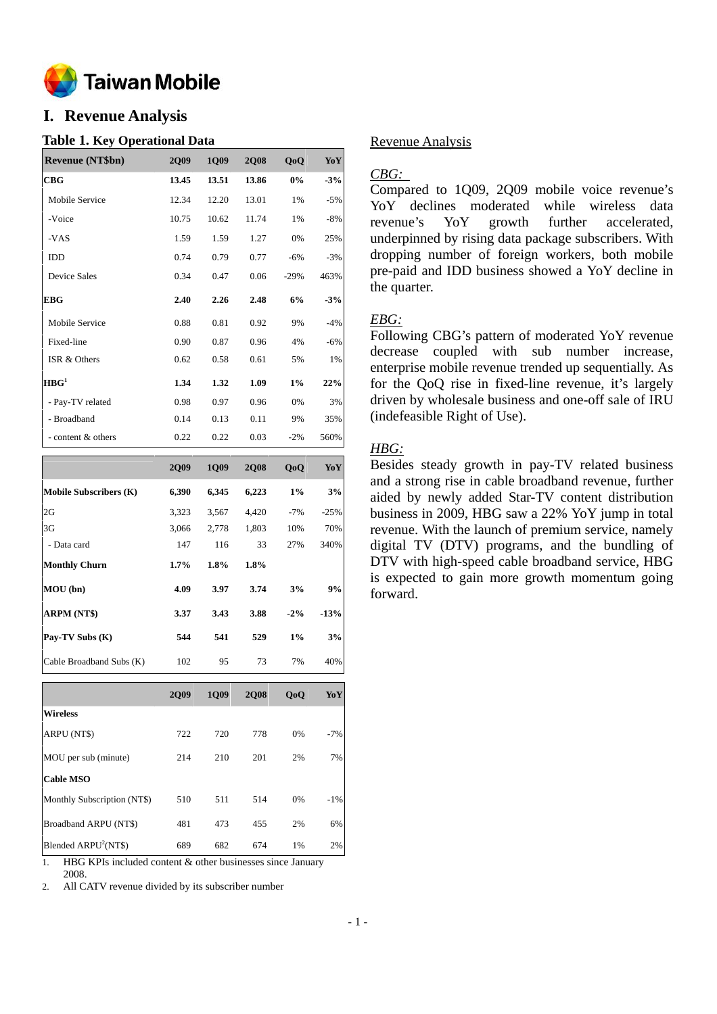

# **I. Revenue Analysis**

### **Table 1. Key Operational Data**

| <b>Revenue (NT\$bn)</b> | <b>2Q09</b> | 1Q09  | <b>2Q08</b> | QoQ    | YoY   |
|-------------------------|-------------|-------|-------------|--------|-------|
| CBG                     | 13.45       | 13.51 | 13.86       | 0%     | $-3%$ |
| Mobile Service          | 12.34       | 12.20 | 13.01       | 1%     | $-5%$ |
| -Voice                  | 10.75       | 10.62 | 11.74       | 1%     | $-8%$ |
| -VAS                    | 1.59        | 1.59  | 1.27        | 0%     | 25%   |
| IDD                     | 0.74        | 0.79  | 0.77        | $-6%$  | $-3%$ |
| <b>Device Sales</b>     | 0.34        | 0.47  | 0.06        | $-29%$ | 463%  |
| <b>EBG</b>              | 2.40        | 2.26  | 2.48        | 6%     | $-3%$ |
| Mobile Service          | 0.88        | 0.81  | 0.92        | 9%     | $-4%$ |
| Fixed-line              | 0.90        | 0.87  | 0.96        | 4%     | $-6%$ |
| ISR & Others            | 0.62        | 0.58  | 0.61        | 5%     | 1%    |
| HBG <sup>1</sup>        | 1.34        | 1.32  | 1.09        | 1%     | 22%   |
| - Pay-TV related        | 0.98        | 0.97  | 0.96        | 0%     | 3%    |
| - Broadband             | 0.14        | 0.13  | 0.11        | 9%     | 35%   |
| - content & others      | 0.22        | 0.22  | 0.03        | $-2\%$ | 560%  |

|                               | <b>2Q09</b> | 1Q09  | <b>2Q08</b> | QoQ    | YoY    |
|-------------------------------|-------------|-------|-------------|--------|--------|
| <b>Mobile Subscribers (K)</b> | 6,390       | 6,345 | 6,223       | 1%     | 3%     |
| 2G                            | 3,323       | 3,567 | 4,420       | $-7%$  | $-25%$ |
| 3G                            | 3,066       | 2,778 | 1,803       | 10%    | 70%    |
| - Data card                   | 147         | 116   | 33          | 27%    | 340%   |
| <b>Monthly Churn</b>          | 1.7%        | 1.8%  | 1.8%        |        |        |
| MOU(bn)                       | 4.09        | 3.97  | 3.74        | 3%     | 9%     |
| <b>ARPM (NT\$)</b>            | 3.37        | 3.43  | 3.88        | $-2\%$ | $-13%$ |
| Pay-TV Subs (K)               | 544         | 541   | 529         | $1\%$  | 3%     |
| Cable Broadband Subs (K)      | 102         | 95    | 73          | 7%     | 40%    |
|                               |             |       |             |        |        |

|                                  | 2009 | 1009 | <b>2008</b> | QoQ | YoY    |
|----------------------------------|------|------|-------------|-----|--------|
| <b>Wireless</b>                  |      |      |             |     |        |
| ARPU (NT\$)                      | 722  | 720  | 778         | 0%  | $-7%$  |
| MOU per sub (minute)             | 214  | 210  | 201         | 2%  | 7%     |
| <b>Cable MSO</b>                 |      |      |             |     |        |
| Monthly Subscription (NT\$)      | 510  | 511  | 514         | 0%  | $-1\%$ |
| Broadband ARPU (NT\$)            | 481  | 473  | 455         | 2%  | 6%     |
| Blended ARPU <sup>2</sup> (NT\$) | 689  | 682  | 674         | 1%  | 2%     |

1. HBG KPIs included content & other businesses since January 2008.

2. All CATV revenue divided by its subscriber number

## Revenue Analysis

### *CBG:*

Compared to 1Q09, 2Q09 mobile voice revenue's YoY declines moderated while wireless data revenue's YoY growth further accelerated, underpinned by rising data package subscribers. With dropping number of foreign workers, both mobile pre-paid and IDD business showed a YoY decline in the quarter.

### *EBG:*

Following CBG's pattern of moderated YoY revenue decrease coupled with sub number increase, enterprise mobile revenue trended up sequentially. As for the QoQ rise in fixed-line revenue, it's largely driven by wholesale business and one-off sale of IRU (indefeasible Right of Use).

### *HBG:*

Besides steady growth in pay-TV related business and a strong rise in cable broadband revenue, further aided by newly added Star-TV content distribution business in 2009, HBG saw a 22% YoY jump in total revenue. With the launch of premium service, namely digital TV (DTV) programs, and the bundling of DTV with high-speed cable broadband service, HBG is expected to gain more growth momentum going forward.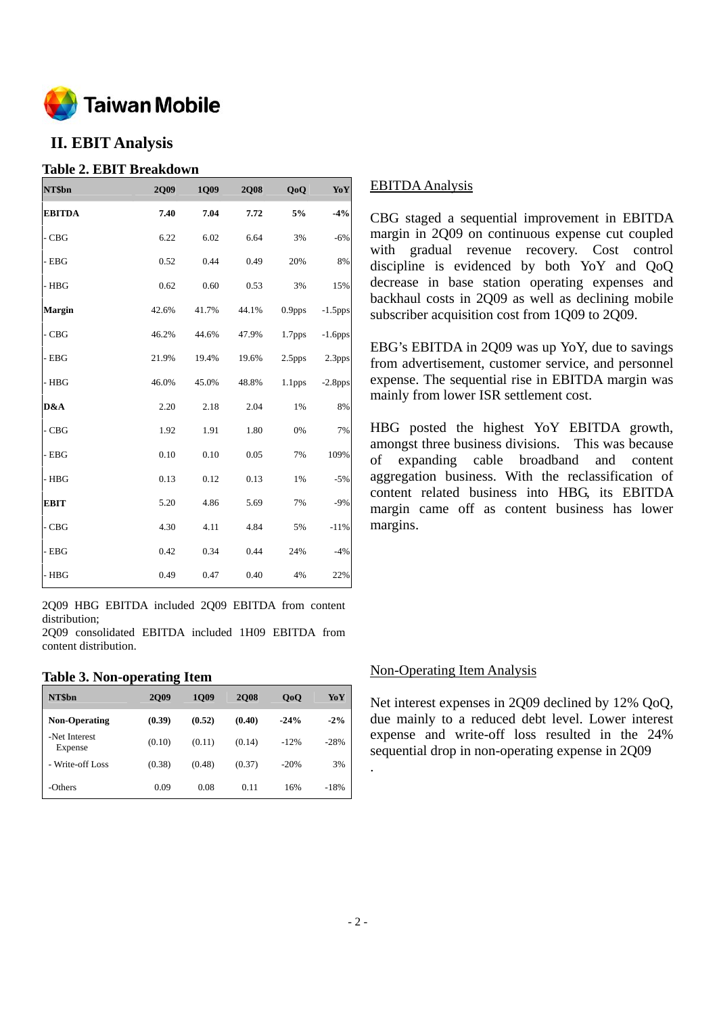

### **II. EBIT Analysis**

### **Table 2. EBIT Breakdown**

| NT\$bn        | 2Q09  | 1Q09  | <b>2Q08</b> | QoQ                | Yo Y       |
|---------------|-------|-------|-------------|--------------------|------------|
| <b>EBITDA</b> | 7.40  | 7.04  | 7.72        | 5%                 | $-4%$      |
| $-CBG$        | 6.22  | 6.02  | 6.64        | 3%                 | $-6%$      |
| - EBG         | 0.52  | 0.44  | 0.49        | 20%                | 8%         |
| - HBG         | 0.62  | 0.60  | 0.53        | 3%                 | 15%        |
| <b>Margin</b> | 42.6% | 41.7% | 44.1%       | 0.9 <sub>pps</sub> | $-1.5$ pps |
| - CBG         | 46.2% | 44.6% | 47.9%       | 1.7 <sub>pps</sub> | $-1.6$ pps |
| - EBG         | 21.9% | 19.4% | 19.6%       | 2.5 <sub>pps</sub> | 2.3pps     |
| - HBG         | 46.0% | 45.0% | 48.8%       | 1.1 <sub>pps</sub> | $-2.8$ pps |
| D&A           | 2.20  | 2.18  | 2.04        | 1%                 | 8%         |
| - CBG         | 1.92  | 1.91  | 1.80        | 0%                 | 7%         |
| $-$ EBG       | 0.10  | 0.10  | 0.05        | 7%                 | 109%       |
| - HBG         | 0.13  | 0.12  | 0.13        | 1%                 | $-5%$      |
| <b>EBIT</b>   | 5.20  | 4.86  | 5.69        | 7%                 | $-9%$      |
| - CBG         | 4.30  | 4.11  | 4.84        | 5%                 | $-11%$     |
| - EBG         | 0.42  | 0.34  | 0.44        | 24%                | $-4%$      |
| - HBG         | 0.49  | 0.47  | 0.40        | 4%                 | 22%        |

2Q09 HBG EBITDA included 2Q09 EBITDA from content distribution;

2Q09 consolidated EBITDA included 1H09 EBITDA from content distribution.

#### **Table 3. Non-operating Item**

| NT\$bn                   | <b>2009</b> | 1009   | <b>2008</b> | 0 <sub>0</sub> | YoY    |
|--------------------------|-------------|--------|-------------|----------------|--------|
| <b>Non-Operating</b>     | (0.39)      | (0.52) | (0.40)      | $-24%$         | $-2\%$ |
| -Net Interest<br>Expense | (0.10)      | (0.11) | (0.14)      | $-12%$         | $-28%$ |
| - Write-off Loss         | (0.38)      | (0.48) | (0.37)      | $-20%$         | 3%     |
| -Others                  | 0.09        | 0.08   | 0.11        | 16%            | $-18%$ |

### EBITDA Analysis

CBG staged a sequential improvement in EBITDA margin in 2Q09 on continuous expense cut coupled with gradual revenue recovery. Cost control discipline is evidenced by both YoY and QoQ decrease in base station operating expenses and backhaul costs in 2Q09 as well as declining mobile subscriber acquisition cost from 1Q09 to 2Q09.

EBG's EBITDA in 2Q09 was up YoY, due to savings from advertisement, customer service, and personnel expense. The sequential rise in EBITDA margin was mainly from lower ISR settlement cost.

HBG posted the highest YoY EBITDA growth, amongst three business divisions. This was because of expanding cable broadband and content aggregation business. With the reclassification of content related business into HBG, its EBITDA margin came off as content business has lower margins.

### Non-Operating Item Analysis

Net interest expenses in 2Q09 declined by 12% QoQ, due mainly to a reduced debt level. Lower interest expense and write-off loss resulted in the 24% sequential drop in non-operating expense in 2Q09

.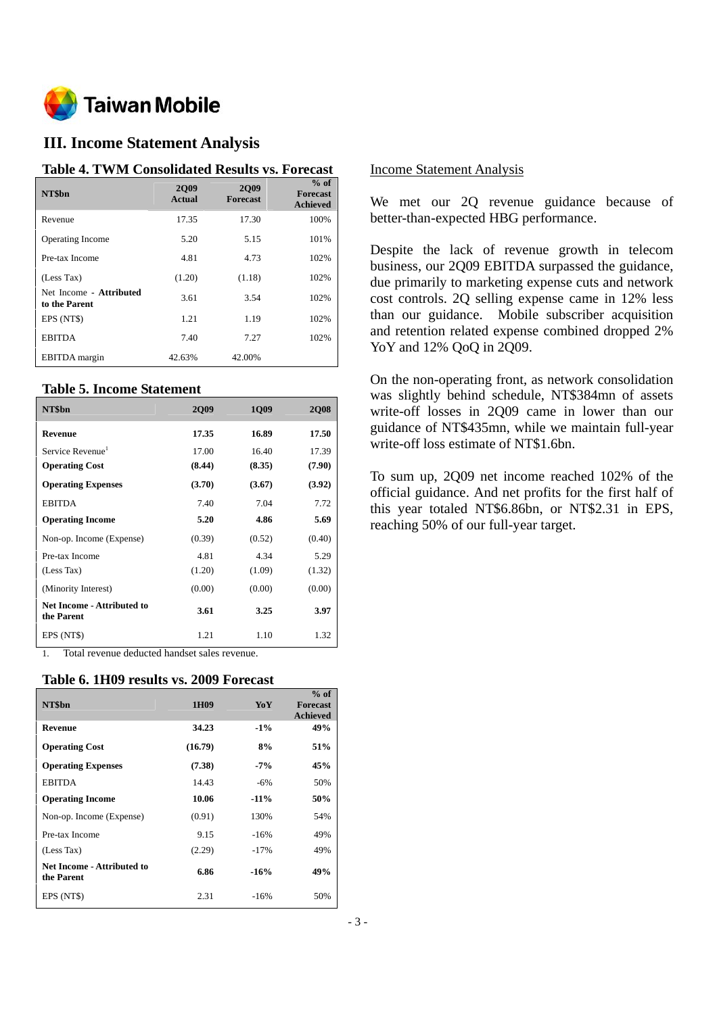

### **III. Income Statement Analysis**

#### **Table 4. TWM Consolidated Results vs. Forecast**

| NT\$bn                                   | <b>2009</b><br>Actual | <b>2Q09</b><br><b>Forecast</b> | $%$ of<br><b>Forecast</b><br><b>Achieved</b> |
|------------------------------------------|-----------------------|--------------------------------|----------------------------------------------|
| Revenue                                  | 17.35                 | 17.30                          | 100%                                         |
| <b>Operating Income</b>                  | 5.20                  | 5.15                           | 101%                                         |
| Pre-tax Income                           | 4.81                  | 4.73                           | 102%                                         |
| (Less Tax)                               | (1.20)                | (1.18)                         | 102%                                         |
| Net Income - Attributed<br>to the Parent | 3.61                  | 3.54                           | 102%                                         |
| EPS (NT\$)                               | 1.21                  | 1.19                           | 102%                                         |
| <b>EBITDA</b>                            | 7.40                  | 7.27                           | 102%                                         |
| <b>EBITDA</b> margin                     | 42.63%                | 42.00%                         |                                              |

### **Table 5. Income Statement**

| NT\$bn                                   | <b>2009</b> | 1Q09   | <b>2Q08</b> |
|------------------------------------------|-------------|--------|-------------|
| Revenue                                  | 17.35       | 16.89  | 17.50       |
| Service Revenue <sup>1</sup>             | 17.00       | 16.40  | 17.39       |
| <b>Operating Cost</b>                    | (8.44)      | (8.35) | (7.90)      |
| <b>Operating Expenses</b>                | (3.70)      | (3.67) | (3.92)      |
| <b>EBITDA</b>                            | 7.40        | 7.04   | 7.72        |
| <b>Operating Income</b>                  | 5.20        | 4.86   | 5.69        |
| Non-op. Income (Expense)                 | (0.39)      | (0.52) | (0.40)      |
| Pre-tax Income                           | 4.81        | 4.34   | 5.29        |
| (Less Tax)                               | (1.20)      | (1.09) | (1.32)      |
| (Minority Interest)                      | (0.00)      | (0.00) | (0.00)      |
| Net Income - Attributed to<br>the Parent | 3.61        | 3.25   | 3.97        |
| EPS (NT\$)                               | 1.21        | 1.10   | 1.32        |

1. Total revenue deducted handset sales revenue.

#### **Table 6. 1H09 results vs. 2009 Forecast**

| NT\$bn                                   | 1H <sub>09</sub> | YoY     | $%$ of<br><b>Forecast</b><br><b>Achieved</b> |
|------------------------------------------|------------------|---------|----------------------------------------------|
| <b>Revenue</b>                           | 34.23            | $-1\%$  | 49%                                          |
| <b>Operating Cost</b>                    | (16.79)          | 8%      | 51%                                          |
| <b>Operating Expenses</b>                | (7.38)           | $-7\%$  | 45%                                          |
| <b>EBITDA</b>                            | 14.43            | $-6\%$  | 50%                                          |
| <b>Operating Income</b>                  | 10.06            | $-11\%$ | 50%                                          |
| Non-op. Income (Expense)                 | (0.91)           | 130%    | 54%                                          |
| Pre-tax Income                           | 9.15             | $-16%$  | 49%                                          |
| (Less Tax)                               | (2.29)           | $-17%$  | 49%                                          |
| Net Income - Attributed to<br>the Parent | 6.86             | $-16%$  | 49%                                          |
| EPS (NT\$)                               | 2.31             | $-16%$  | 50%                                          |

#### Income Statement Analysis

We met our 2Q revenue guidance because of better-than-expected HBG performance.

Despite the lack of revenue growth in telecom business, our 2Q09 EBITDA surpassed the guidance, due primarily to marketing expense cuts and network cost controls. 2Q selling expense came in 12% less than our guidance. Mobile subscriber acquisition and retention related expense combined dropped 2% YoY and 12% QoQ in 2Q09.

On the non-operating front, as network consolidation was slightly behind schedule, NT\$384mn of assets write-off losses in 2Q09 came in lower than our guidance of NT\$435mn, while we maintain full-year write-off loss estimate of NT\$1.6bn.

To sum up, 2Q09 net income reached 102% of the official guidance. And net profits for the first half of this year totaled NT\$6.86bn, or NT\$2.31 in EPS, reaching 50% of our full-year target.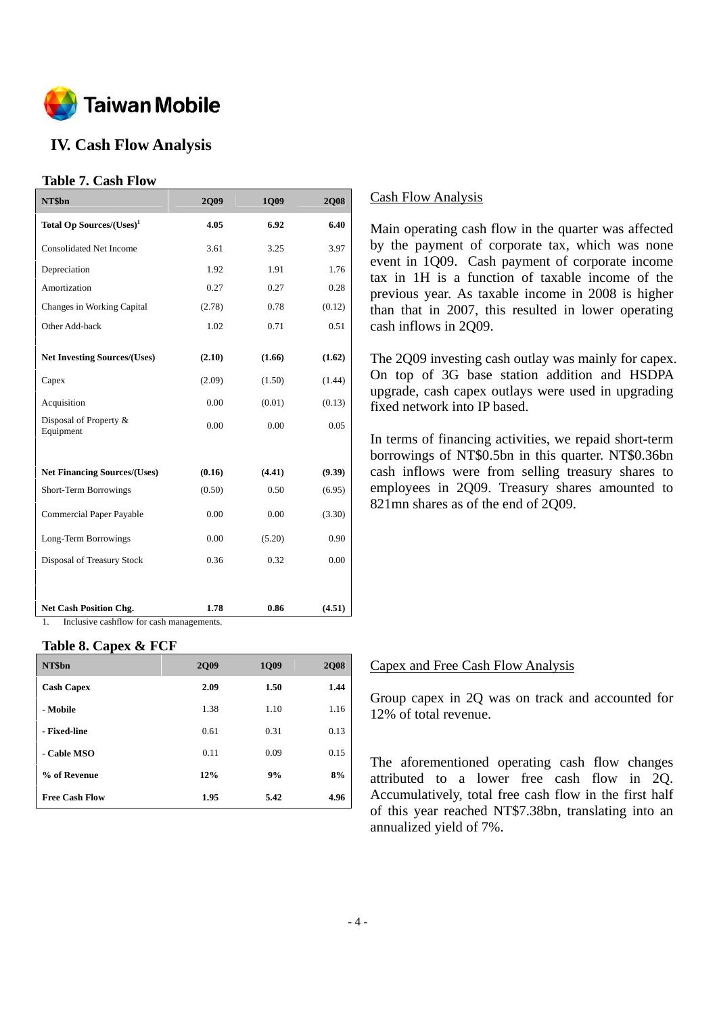

# **IV. Cash Flow Analysis**

### **Table 7. Cash Flow**

| NT\$bn                               | <b>2Q09</b> | 1Q09   | <b>2Q08</b> |
|--------------------------------------|-------------|--------|-------------|
| Total Op Sources/(Uses) <sup>1</sup> | 4.05        | 6.92   | 6.40        |
| <b>Consolidated Net Income</b>       | 3.61        | 3.25   | 3.97        |
| Depreciation                         | 1.92        | 1.91   | 1.76        |
| Amortization                         | 0.27        | 0.27   | 0.28        |
| Changes in Working Capital           | (2.78)      | 0.78   | (0.12)      |
| Other Add-back                       | 1.02        | 0.71   | 0.51        |
| <b>Net Investing Sources/(Uses)</b>  | (2.10)      | (1.66) | (1.62)      |
| Capex                                | (2.09)      | (1.50) | (1.44)      |
| Acquisition                          | 0.00        | (0.01) | (0.13)      |
| Disposal of Property &<br>Equipment  | 0.00        | 0.00   | 0.05        |
| <b>Net Financing Sources/(Uses)</b>  | (0.16)      | (4.41) | (9.39)      |
| <b>Short-Term Borrowings</b>         | (0.50)      | 0.50   | (6.95)      |
| Commercial Paper Payable             | 0.00        | 0.00   | (3.30)      |
| Long-Term Borrowings                 | 0.00        | (5.20) | 0.90        |
| Disposal of Treasury Stock           | 0.36        | 0.32   | 0.00        |
|                                      |             |        |             |
| <b>Net Cash Position Chg.</b>        | 1.78        | 0.86   | (4.51)      |

1. Inclusive cashflow for cash managements.

#### **Table 8. Capex & FCF**

| NT\$bn                | <b>2Q09</b> | 1Q09 | <b>2Q08</b> |
|-----------------------|-------------|------|-------------|
| <b>Cash Capex</b>     | 2.09        | 1.50 | 1.44        |
| - Mobile              | 1.38        | 1.10 | 1.16        |
| - Fixed-line          | 0.61        | 0.31 | 0.13        |
| - Cable MSO           | 0.11        | 0.09 | 0.15        |
| % of Revenue          | 12%         | 9%   | 8%          |
| <b>Free Cash Flow</b> | 1.95        | 5.42 | 4.96        |

### Cash Flow Analysis

Main operating cash flow in the quarter was affected by the payment of corporate tax, which was none event in 1Q09. Cash payment of corporate income tax in 1H is a function of taxable income of the previous year. As taxable income in 2008 is higher than that in 2007, this resulted in lower operating cash inflows in 2Q09.

The 2Q09 investing cash outlay was mainly for capex. On top of 3G base station addition and HSDPA upgrade, cash capex outlays were used in upgrading fixed network into IP based.

In terms of financing activities, we repaid short-term borrowings of NT\$0.5bn in this quarter. NT\$0.36bn cash inflows were from selling treasury shares to employees in 2Q09. Treasury shares amounted to 821mn shares as of the end of 2Q09.

#### Capex and Free Cash Flow Analysis

Group capex in 2Q was on track and accounted for 12% of total revenue.

The aforementioned operating cash flow changes attributed to a lower free cash flow in 2Q. Accumulatively, total free cash flow in the first half of this year reached NT\$7.38bn, translating into an annualized yield of 7%.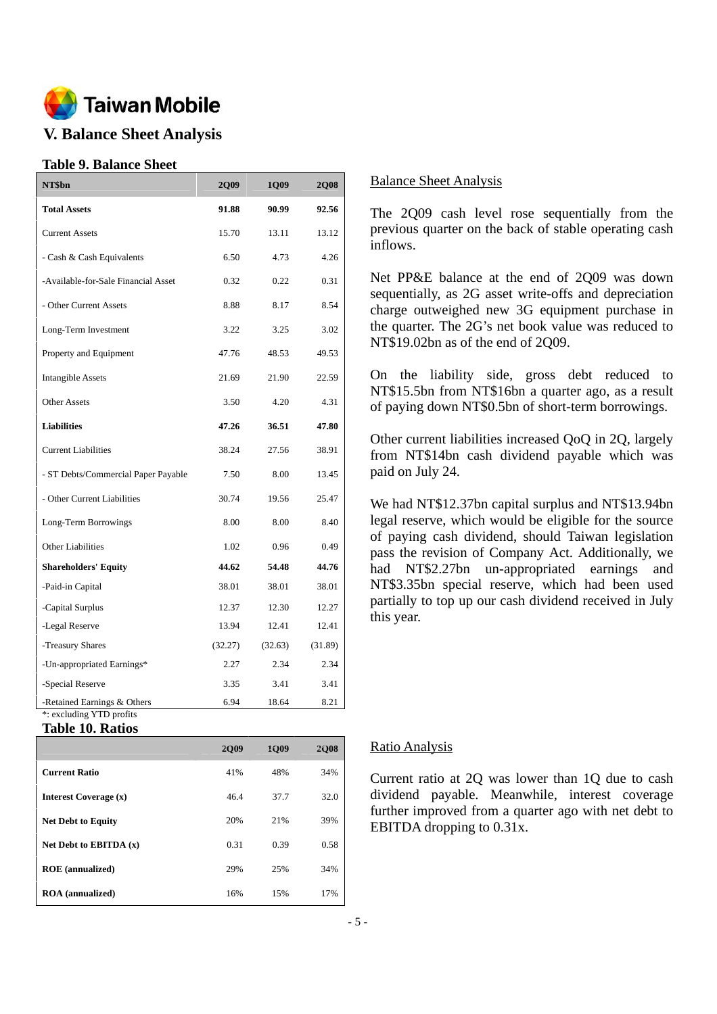

# **V. Balance Sheet Analysis**

### **Table 9. Balance Sheet**

| NT\$bn                                                  | 2Q09    | 1Q09    | <b>2Q08</b> |
|---------------------------------------------------------|---------|---------|-------------|
| <b>Total Assets</b>                                     | 91.88   | 90.99   | 92.56       |
| <b>Current Assets</b>                                   | 15.70   | 13.11   | 13.12       |
| - Cash & Cash Equivalents                               | 6.50    | 4.73    | 4.26        |
| -Available-for-Sale Financial Asset                     | 0.32    | 0.22    | 0.31        |
| - Other Current Assets                                  | 8.88    | 8.17    | 8.54        |
| Long-Term Investment                                    | 3.22    | 3.25    | 3.02        |
| Property and Equipment                                  | 47.76   | 48.53   | 49.53       |
| <b>Intangible Assets</b>                                | 21.69   | 21.90   | 22.59       |
| <b>Other Assets</b>                                     | 3.50    | 4.20    | 4.31        |
| <b>Liabilities</b>                                      | 47.26   | 36.51   | 47.80       |
| <b>Current Liabilities</b>                              | 38.24   | 27.56   | 38.91       |
| - ST Debts/Commercial Paper Payable                     | 7.50    | 8.00    | 13.45       |
| - Other Current Liabilities                             | 30.74   | 19.56   | 25.47       |
| Long-Term Borrowings                                    | 8.00    | 8.00    | 8.40        |
| Other Liabilities                                       | 1.02    | 0.96    | 0.49        |
| <b>Shareholders' Equity</b>                             | 44.62   | 54.48   | 44.76       |
| -Paid-in Capital                                        | 38.01   | 38.01   | 38.01       |
| -Capital Surplus                                        | 12.37   | 12.30   | 12.27       |
| -Legal Reserve                                          | 13.94   | 12.41   | 12.41       |
| -Treasury Shares                                        | (32.27) | (32.63) | (31.89)     |
| -Un-appropriated Earnings*                              | 2.27    | 2.34    | 2.34        |
| -Special Reserve                                        | 3.35    | 3.41    | 3.41        |
| -Retained Earnings & Others<br>*: excluding YTD profits | 6.94    | 18.64   | 8.21        |

**Table 10. Ratios** 

|                           | 2009 | 1009 | 2008 |
|---------------------------|------|------|------|
| <b>Current Ratio</b>      | 41%  | 48%  | 34%  |
| Interest Coverage (x)     | 46.4 | 37.7 | 32.0 |
| <b>Net Debt to Equity</b> | 20%  | 21%  | 39%  |
| Net Debt to EBITDA $(x)$  | 0.31 | 0.39 | 0.58 |
| <b>ROE</b> (annualized)   | 29%  | 25%  | 34%  |
| <b>ROA</b> (annualized)   | 16%  | 15%  | 17%  |

#### Balance Sheet Analysis

The 2Q09 cash level rose sequentially from the previous quarter on the back of stable operating cash inflows.

Net PP&E balance at the end of 2Q09 was down sequentially, as 2G asset write-offs and depreciation charge outweighed new 3G equipment purchase in the quarter. The 2G's net book value was reduced to NT\$19.02bn as of the end of 2O09.

On the liability side, gross debt reduced to NT\$15.5bn from NT\$16bn a quarter ago, as a result of paying down NT\$0.5bn of short-term borrowings.

Other current liabilities increased QoQ in 2Q, largely from NT\$14bn cash dividend payable which was paid on July 24.

We had NT\$12.37bn capital surplus and NT\$13.94bn legal reserve, which would be eligible for the source of paying cash dividend, should Taiwan legislation pass the revision of Company Act. Additionally, we had NT\$2.27bn un-appropriated earnings and NT\$3.35bn special reserve, which had been used partially to top up our cash dividend received in July this year.

### Ratio Analysis

Current ratio at 2Q was lower than 1Q due to cash dividend payable. Meanwhile, interest coverage further improved from a quarter ago with net debt to EBITDA dropping to 0.31x.